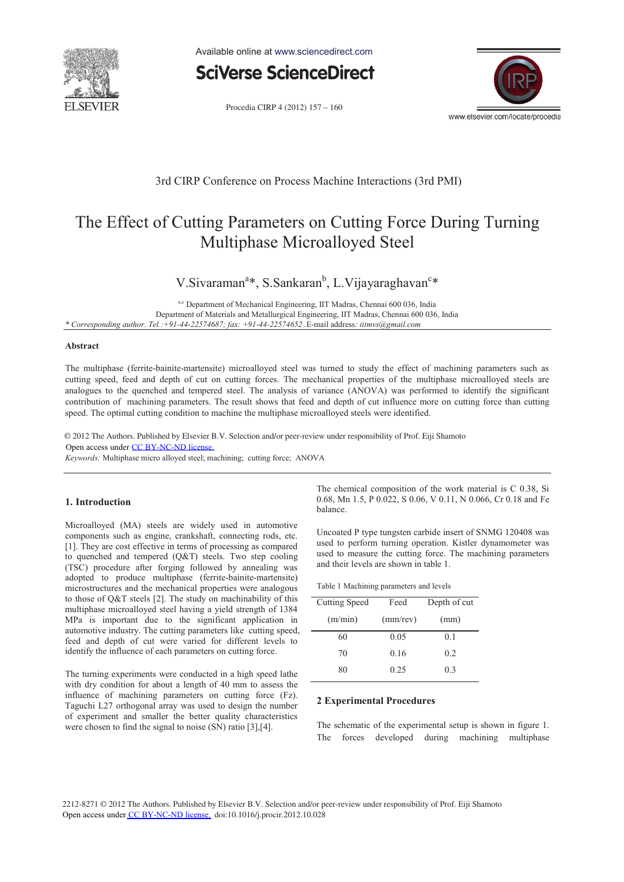

Available online at www.sciencedirect.com



Procedia CIRP 4 (2012) 157 - 160



### 3rd CIRP Conference on Process Machine Interactions (3rd PMI)

# The Effect of Cutting Parameters on Cutting Force During Turning Multiphase Microalloyed Steel

## V.Sivaraman<sup>a\*</sup>, S.Sankaran<sup>b</sup>, L.Vijayaraghavan<sup>c\*</sup>

a,c Department of Mechanical Engineering, IIT Madras, Chennai 600 036, India Department of Materials and Metallurgical Engineering, IIT Madras, Chennai 600 036, India *\* Corresponding author. Tel.:+91-44-22574687; fax: +91-44-22574652 .*E-mail address*: iitmvs@gmail.com*

#### **Abstract**

The multiphase (ferrite-bainite-martensite) microalloyed steel was turned to study the effect of machining parameters such as cutting speed, feed and depth of cut on cutting forces. The mechanical properties of the multiphase microalloyed steels are analogues to the quenched and tempered steel. The analysis of variance (ANOVA) was performed to identify the significant contribution of machining parameters. The result shows that feed and depth of cut influence more on cutting force than cutting speed. The optimal cutting condition to machine the multiphase microalloyed steels were identified.

© 2012 The Authors. Published by Elsevier B.V. Selection and/or peer-review under responsibility of Prof. Eiji Shamoto Open access under [CC BY-NC-ND license.](http://creativecommons.org/licenses/by-nc-nd/3.0/)

*Keywords:* Multiphase micro alloyed steel; machining; cutting force; ANOVA

#### **1. Introduction**

Microalloyed (MA) steels are widely used in automotive components such as engine, crankshaft, connecting rods, etc. [1]. They are cost effective in terms of processing as compared to quenched and tempered (Q&T) steels. Two step cooling (TSC) procedure after forging followed by annealing was adopted to produce multiphase (ferrite-bainite-martensite) microstructures and the mechanical properties were analogous to those of Q&T steels [2]. The study on machinability of this multiphase microalloyed steel having a yield strength of 1384 MPa is important due to the significant application in automotive industry. The cutting parameters like cutting speed, feed and depth of cut were varied for different levels to identify the influence of each parameters on cutting force.

The turning experiments were conducted in a high speed lathe with dry condition for about a length of 40 mm to assess the influence of machining parameters on cutting force (Fz). Taguchi L27 orthogonal array was used to design the number of experiment and smaller the better quality characteristics were chosen to find the signal to noise (SN) ratio [3], [4].

The chemical composition of the work material is C 0.38, Si 0.68, Mn 1.5, P 0.022, S 0.06, V 0.11, N 0.066, Cr 0.18 and Fe balance.

Uncoated P type tungsten carbide insert of SNMG 120408 was used to perform turning operation. Kistler dynamometer was used to measure the cutting force. The machining parameters and their levels are shown in table 1.

| Table 1 Machining parameters and levels |  |
|-----------------------------------------|--|
|-----------------------------------------|--|

| Cutting Speed | Feed        | Depth of cut |  |
|---------------|-------------|--------------|--|
| (m/min)       | $(mm$ /rev) | (mm)         |  |
| 60            | 0.05        | 0.1          |  |
| 70            | 0.16        | 0.2          |  |
| 80            | 0.25        | 03           |  |

#### **2 Experimental Procedures**

The schematic of the experimental setup is shown in figure 1. The forces developed during machining multiphase

2212-8271 © 2012 The Authors. Published by Elsevier B.V. Selection and/or peer-review under responsibility of Prof. Eiji Shamoto Open access under [CC BY-NC-ND license.](http://creativecommons.org/licenses/by-nc-nd/3.0/) doi:10.1016/j.procir.2012.10.028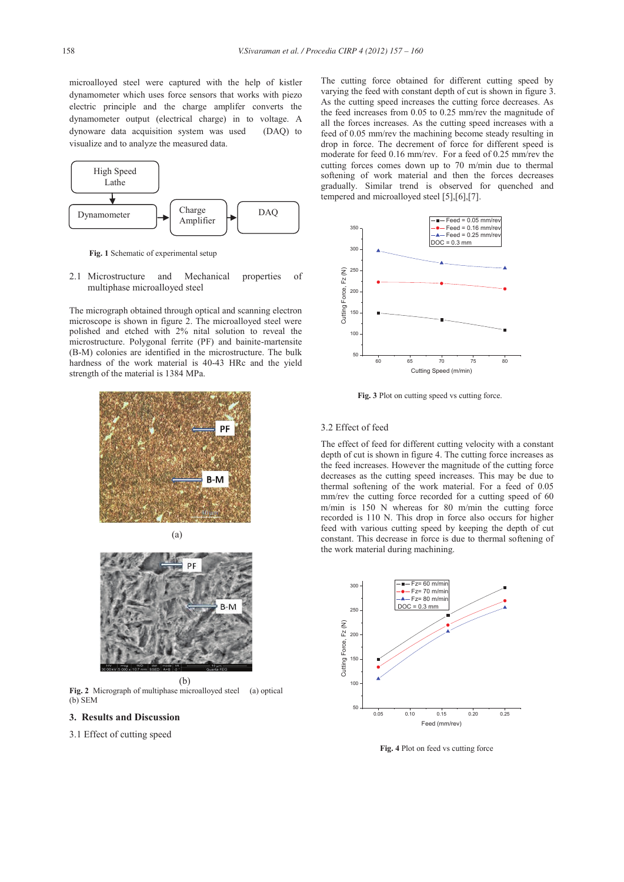microalloyed steel were captured with the help of kistler dynamometer which uses force sensors that works with piezo electric principle and the charge amplifer converts the dynamometer output (electrical charge) in to voltage. A dynoware data acquisition system was used (DAQ) to visualize and to analyze the measured data.



 **Fig. 1** Schematic of experimental setup

2.1 Microstructure and Mechanical properties of multiphase microalloyed steel

The micrograph obtained through optical and scanning electron microscope is shown in figure 2. The microalloyed steel were polished and etched with 2% nital solution to reveal the microstructure. Polygonal ferrite (PF) and bainite-martensite (B-M) colonies are identified in the microstructure. The bulk hardness of the work material is 40-43 HRc and the yield strength of the material is 1384 MPa.





**Fig. 2** Micrograph of multiphase microalloyed steel (a) optical  $(b)$  SEM

- **3. Results and Discussion**
- 3.1 Effect of cutting speed

The cutting force obtained for different cutting speed by varying the feed with constant depth of cut is shown in figure 3. As the cutting speed increases the cutting force decreases. As the feed increases from 0.05 to 0.25 mm/rev the magnitude of all the forces increases. As the cutting speed increases with a feed of 0.05 mm/rev the machining become steady resulting in drop in force. The decrement of force for different speed is moderate for feed 0.16 mm/rev. For a feed of 0.25 mm/rev the cutting forces comes down up to 70 m/min due to thermal softening of work material and then the forces decreases gradually. Similar trend is observed for quenched and tempered and microalloyed steel [5],[6],[7].



 **Fig. 3** Plot on cutting speed vs cutting force.

#### 3.2 Effect of feed

The effect of feed for different cutting velocity with a constant depth of cut is shown in figure 4. The cutting force increases as the feed increases. However the magnitude of the cutting force decreases as the cutting speed increases. This may be due to thermal softening of the work material. For a feed of 0.05 mm/rev the cutting force recorded for a cutting speed of 60 m/min is 150 N whereas for 80 m/min the cutting force recorded is 110 N. This drop in force also occurs for higher feed with various cutting speed by keeping the depth of cut constant. This decrease in force is due to thermal softening of the work material during machining.



**Fig. 4** Plot on feed vs cutting force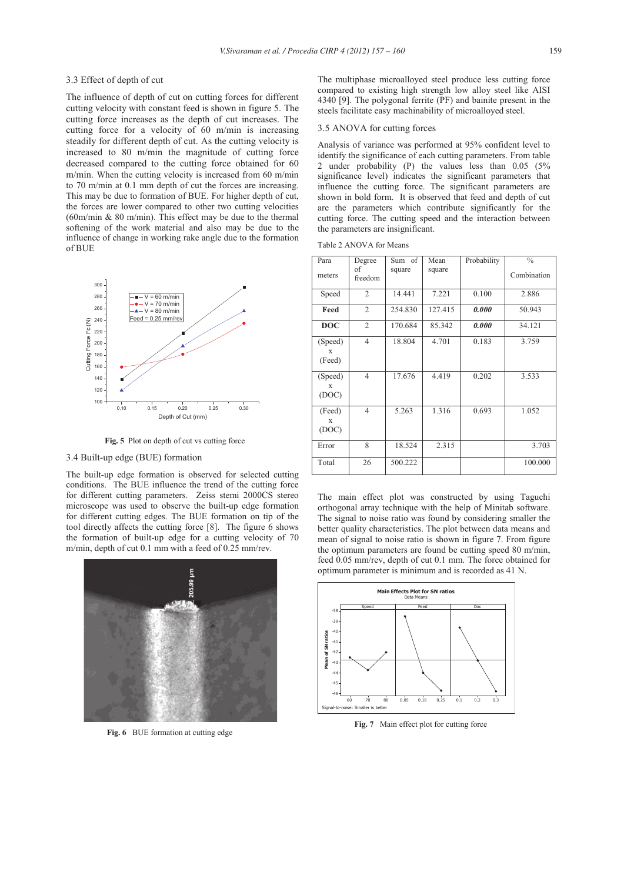#### 3.3 Effect of depth of cut

The influence of depth of cut on cutting forces for different cutting velocity with constant feed is shown in figure 5. The cutting force increases as the depth of cut increases. The cutting force for a velocity of 60 m/min is increasing steadily for different depth of cut. As the cutting velocity is increased to 80 m/min the magnitude of cutting force decreased compared to the cutting force obtained for 60 m/min. When the cutting velocity is increased from 60 m/min to 70 m/min at 0.1 mm depth of cut the forces are increasing. This may be due to formation of BUE. For higher depth of cut, the forces are lower compared to other two cutting velocities (60m/min & 80 m/min). This effect may be due to the thermal softening of the work material and also may be due to the influence of change in working rake angle due to the formation of BUE



 **Fig. 5** Plot on depth of cut vs cutting force

#### 3.4 Built-up edge (BUE) formation

The built-up edge formation is observed for selected cutting conditions. The BUE influence the trend of the cutting force for different cutting parameters. Zeiss stemi 2000CS stereo microscope was used to observe the built-up edge formation for different cutting edges. The BUE formation on tip of the tool directly affects the cutting force [8]. The figure 6 shows the formation of built-up edge for a cutting velocity of 70 m/min, depth of cut 0.1 mm with a feed of 0.25 mm/rev.



 **Fig. 6** BUE formation at cutting edge

The multiphase microalloyed steel produce less cutting force compared to existing high strength low alloy steel like AISI 4340 [9]. The polygonal ferrite (PF) and bainite present in the steels facilitate easy machinability of microalloyed steel.

#### 3.5 ANOVA for cutting forces

Analysis of variance was performed at 95% confident level to identify the significance of each cutting parameters. From table 2 under probability (P) the values less than 0.05 (5% significance level) indicates the significant parameters that influence the cutting force. The significant parameters are shown in bold form. It is observed that feed and depth of cut are the parameters which contribute significantly for the cutting force. The cutting speed and the interaction between the parameters are insignificant.

| Table 2 ANOVA for Means |  |
|-------------------------|--|
|-------------------------|--|

| Para                            | Degree<br>of   | Sum of<br>square | Mean<br>square | Probability | $\frac{0}{0}$<br>Combination |
|---------------------------------|----------------|------------------|----------------|-------------|------------------------------|
| meters                          | freedom        |                  |                |             |                              |
| Speed                           | $\overline{2}$ | 14.441           | 7.221          | 0.100       | 2.886                        |
| Feed                            | $\overline{2}$ | 254.830          | 127.415        | 0.000       | 50.943                       |
| <b>DOC</b>                      | $\overline{2}$ | 170.684          | 85.342         | 0.000       | 34.121                       |
| (Speed)<br>X<br>(Feed)          | $\overline{4}$ | 18.804           | 4.701          | 0.183       | 3.759                        |
| (Speed)<br>$\mathbf x$<br>(DOC) | $\overline{4}$ | 17.676           | 4.419          | 0.202       | 3.533                        |
| (Feed)<br>X<br>(DOC)            | $\overline{4}$ | 5.263            | 1.316          | 0.693       | 1.052                        |
| Error                           | 8              | 18.524           | 2.315          |             | 3.703                        |
| Total                           | 26             | 500.222          |                |             | 100.000                      |

The main effect plot was constructed by using Taguchi orthogonal array technique with the help of Minitab software. The signal to noise ratio was found by considering smaller the better quality characteristics. The plot between data means and mean of signal to noise ratio is shown in figure 7. From figure the optimum parameters are found be cutting speed 80 m/min, feed 0.05 mm/rev, depth of cut 0.1 mm. The force obtained for optimum parameter is minimum and is recorded as 41 N.



 **Fig. 7** Main effect plot for cutting force